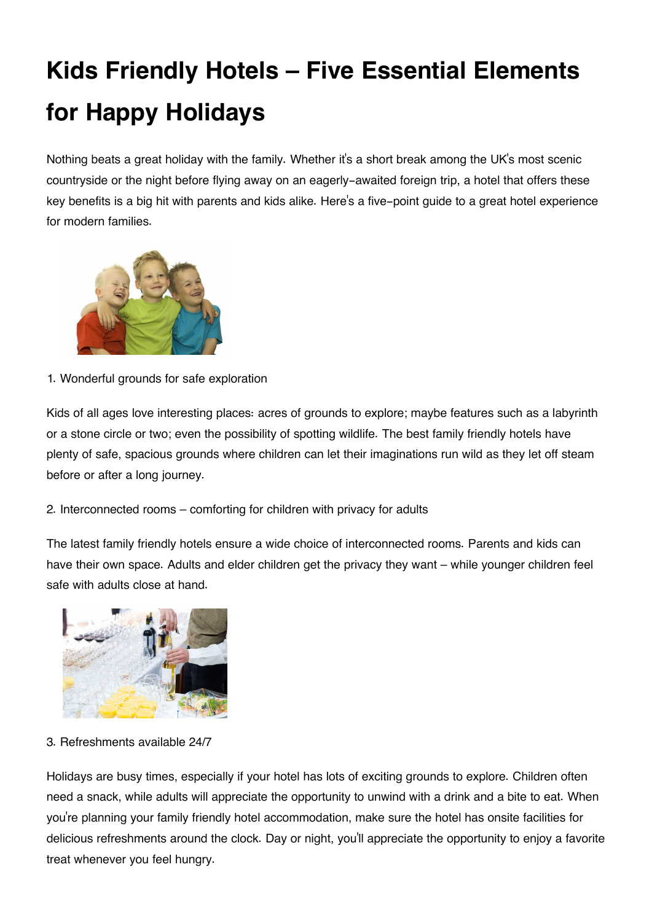## **Kids Friendly Hotels – Five Essential Elements for Happy Holidays**

Nothing beats a great holiday with the family. Whether it's a short break among the UK's most scenic countryside or the night before flying away on an eagerly-awaited foreign trip, a hotel that offers these key benefits is a big hit with parents and kids alike. Here's a five-point guide to a great hotel experience for modern families.



1. Wonderful grounds for safe exploration

Kids of all ages love interesting places: acres of grounds to explore; maybe features such as a labyrinth or a stone circle or two; even the possibility of spotting wildlife. The best family friendly hotels have plenty of safe, spacious grounds where children can let their imaginations run wild as they let off steam before or after a long journey.

2. Interconnected rooms – comforting for children with privacy for adults

The latest family friendly hotels ensure a wide choice of interconnected rooms. Parents and kids can have their own space. Adults and elder children get the privacy they want – while younger children feel safe with adults close at hand.



3. Refreshments available 24/7

Holidays are busy times, especially if your hotel has lots of exciting grounds to explore. Children often need a snack, while adults will appreciate the opportunity to unwind with a drink and a bite to eat. When you're planning your family friendly hotel accommodation, make sure the hotel has onsite facilities for delicious refreshments around the clock. Day or night, you'll appreciate the opportunity to enjoy a favorite treat whenever you feel hungry.